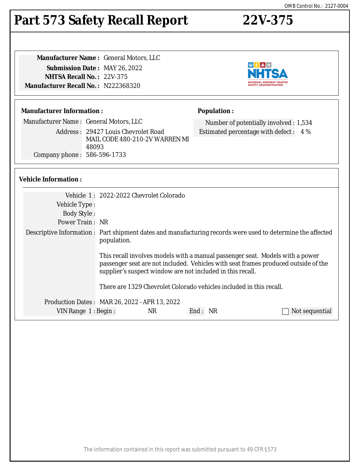# **Part 573 Safety Recall Report 22V-375**

**Manufacturer Name :** General Motors, LLC **Submission Date :** MAY 26, 2022 **NHTSA Recall No. :** 22V-375 **Manufacturer Recall No. :** N222368320

## **Manufacturer Information :**

Manufacturer Name : General Motors, LLC

Address : 29427 Louis Chevrolet Road MAIL CODE 480-210-2V WARREN MI 48093 Company phone : 586-596-1733

# **Vehicle Information :**

| Vehicle 1: 2022-2022 Chevrolet Colorado                                                                                                                                                                                           |  |  |
|-----------------------------------------------------------------------------------------------------------------------------------------------------------------------------------------------------------------------------------|--|--|
|                                                                                                                                                                                                                                   |  |  |
|                                                                                                                                                                                                                                   |  |  |
| Power Train: NR                                                                                                                                                                                                                   |  |  |
| Descriptive Information : Part shipment dates and manufacturing records were used to determine the affected<br>population.                                                                                                        |  |  |
| This recall involves models with a manual passenger seat. Models with a power<br>passenger seat are not included. Vehicles with seat frames produced outside of the<br>supplier's suspect window are not included in this recall. |  |  |
| There are 1329 Chevrolet Colorado vehicles included in this recall.                                                                                                                                                               |  |  |
| Production Dates: MAR 26, 2022 - APR 13, 2022                                                                                                                                                                                     |  |  |
| NR.<br>End: NR<br>VIN Range 1: Begin:<br>Not sequential                                                                                                                                                                           |  |  |
|                                                                                                                                                                                                                                   |  |  |



Number of potentially involved : 1,534 Estimated percentage with defect : 4 %

**Population :**

The information contained in this report was submitted pursuant to 49 CFR §573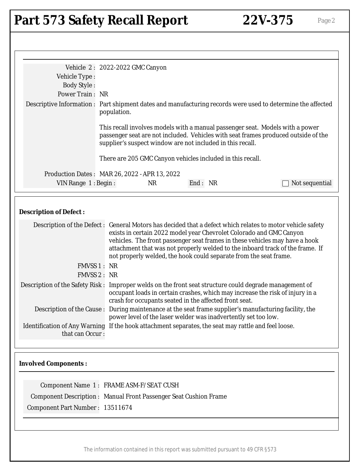# Part 573 Safety Recall Report 22V-375 Page 2

|                                                                         | Vehicle 2: 2022-2022 GMC Canyon               |                                                                                                                                                                                                                                                                                                                                                                                                                                                                                                                                                                                                                                                                                            |                                                                                                             |
|-------------------------------------------------------------------------|-----------------------------------------------|--------------------------------------------------------------------------------------------------------------------------------------------------------------------------------------------------------------------------------------------------------------------------------------------------------------------------------------------------------------------------------------------------------------------------------------------------------------------------------------------------------------------------------------------------------------------------------------------------------------------------------------------------------------------------------------------|-------------------------------------------------------------------------------------------------------------|
| Vehicle Type:                                                           |                                               |                                                                                                                                                                                                                                                                                                                                                                                                                                                                                                                                                                                                                                                                                            |                                                                                                             |
| <b>Body Style:</b>                                                      |                                               |                                                                                                                                                                                                                                                                                                                                                                                                                                                                                                                                                                                                                                                                                            |                                                                                                             |
| Power Train: NR                                                         |                                               |                                                                                                                                                                                                                                                                                                                                                                                                                                                                                                                                                                                                                                                                                            |                                                                                                             |
|                                                                         | population.                                   |                                                                                                                                                                                                                                                                                                                                                                                                                                                                                                                                                                                                                                                                                            | Descriptive Information : Part shipment dates and manufacturing records were used to determine the affected |
|                                                                         |                                               | This recall involves models with a manual passenger seat. Models with a power<br>supplier's suspect window are not included in this recall.                                                                                                                                                                                                                                                                                                                                                                                                                                                                                                                                                | passenger seat are not included. Vehicles with seat frames produced outside of the                          |
|                                                                         |                                               | There are 205 GMC Canyon vehicles included in this recall.                                                                                                                                                                                                                                                                                                                                                                                                                                                                                                                                                                                                                                 |                                                                                                             |
|                                                                         | Production Dates: MAR 26, 2022 - APR 13, 2022 |                                                                                                                                                                                                                                                                                                                                                                                                                                                                                                                                                                                                                                                                                            |                                                                                                             |
| VIN Range $1:$ Begin:                                                   | <b>NR</b>                                     | End: NR                                                                                                                                                                                                                                                                                                                                                                                                                                                                                                                                                                                                                                                                                    | Not sequential                                                                                              |
| FMVSS 1 : NR<br>FMVSS 2: NR                                             |                                               | attachment that was not properly welded to the inboard track of the frame. If<br>not properly welded, the hook could separate from the seat frame.<br>Description of the Safety Risk: Improper welds on the front seat structure could degrade management of<br>occupant loads in certain crashes, which may increase the risk of injury in a<br>crash for occupants seated in the affected front seat.<br>Description of the Cause : During maintenance at the seat frame supplier's manufacturing facility, the<br>power level of the laser welder was inadvertently set too low.<br>Identification of Any Warning If the hook attachment separates, the seat may rattle and feel loose. |                                                                                                             |
| that can Occur:<br><b>Involved Components:</b>                          |                                               |                                                                                                                                                                                                                                                                                                                                                                                                                                                                                                                                                                                                                                                                                            |                                                                                                             |
|                                                                         | Component Name 1: FRAME ASM-F/SEAT CUSH       |                                                                                                                                                                                                                                                                                                                                                                                                                                                                                                                                                                                                                                                                                            |                                                                                                             |
| <b>Component Description: Manual Front Passenger Seat Cushion Frame</b> |                                               |                                                                                                                                                                                                                                                                                                                                                                                                                                                                                                                                                                                                                                                                                            |                                                                                                             |
| Component Part Number: 13511674                                         |                                               |                                                                                                                                                                                                                                                                                                                                                                                                                                                                                                                                                                                                                                                                                            |                                                                                                             |
|                                                                         |                                               |                                                                                                                                                                                                                                                                                                                                                                                                                                                                                                                                                                                                                                                                                            |                                                                                                             |
|                                                                         |                                               |                                                                                                                                                                                                                                                                                                                                                                                                                                                                                                                                                                                                                                                                                            |                                                                                                             |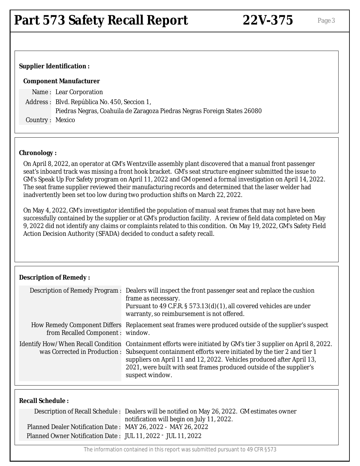### **Supplier Identification :**

#### **Component Manufacturer**

Name : Lear Corporation Address : Blvd. República No. 450, Seccion 1, Piedras Negras, Coahuila de Zaragoza Piedras Negras Foreign States 26080 Country : Mexico

### **Chronology :**

On April 8, 2022, an operator at GM's Wentzville assembly plant discovered that a manual front passenger seat's inboard track was missing a front hook bracket. GM's seat structure engineer submitted the issue to GM's Speak Up For Safety program on April 11, 2022 and GM opened a formal investigation on April 14, 2022. The seat frame supplier reviewed their manufacturing records and determined that the laser welder had inadvertently been set too low during two production shifts on March 22, 2022.

On May 4, 2022, GM's investigator identified the population of manual seat frames that may not have been successfully contained by the supplier or at GM's production facility. A review of field data completed on May 9, 2022 did not identify any claims or complaints related to this condition. On May 19, 2022, GM's Safety Field Action Decision Authority (SFADA) decided to conduct a safety recall.

#### **Description of Remedy :**

|                                   | Description of Remedy Program : Dealers will inspect the front passenger seat and replace the cushion<br>frame as necessary.<br>Pursuant to 49 C.F.R. § 573.13(d)(1), all covered vehicles are under<br>warranty, so reimbursement is not offered.                                                                                                                                         |
|-----------------------------------|--------------------------------------------------------------------------------------------------------------------------------------------------------------------------------------------------------------------------------------------------------------------------------------------------------------------------------------------------------------------------------------------|
| from Recalled Component : window. | How Remedy Component Differs Replacement seat frames were produced outside of the supplier's suspect                                                                                                                                                                                                                                                                                       |
|                                   | Identify How/When Recall Condition Containment efforts were initiated by GM's tier 3 supplier on April 8, 2022.<br>was Corrected in Production: Subsequent containment efforts were initiated by the tier 2 and tier 1<br>suppliers on April 11 and 12, 2022. Vehicles produced after April 13,<br>2021, were built with seat frames produced outside of the supplier's<br>suspect window. |

### **Recall Schedule :**

|                                                               | Description of Recall Schedule : Dealers will be notified on May 26, 2022. GM estimates owner |
|---------------------------------------------------------------|-----------------------------------------------------------------------------------------------|
|                                                               | notification will begin on July 11, 2022.                                                     |
| Planned Dealer Notification Date: MAY 26, 2022 - MAY 26, 2022 |                                                                                               |
| Planned Owner Notification Date: JUL 11, 2022 - JUL 11, 2022  |                                                                                               |

The information contained in this report was submitted pursuant to 49 CFR §573